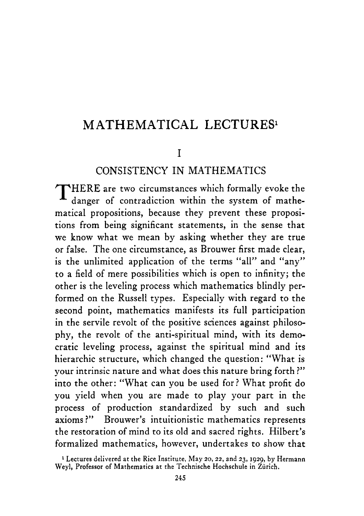#### **MATHEMATICAL LECTURES**

#### I

#### CONSISTENCY IN MATHEMATICS

THERE are two circumstances which formally evoke the danger of contradiction within the system of mathematical propositions, because they prevent these propositions from being significant statements, in the sense that we know what we mean by asking whether they are true or false. The one circumstance, as Brouwer first made clear, is the unlimited application of the terms "all" and "any" to a field of mere possibilities which is open to infinity; the other is the leveling process which mathematics blindly performed on the Russell types. Especially with regard to the second point, mathematics manifests its full participation in the servile revolt of the positive sciences against philosophy, the revolt of the anti-spiritual mind, with its democratic leveling process, against the spiritual mind and its hierarchic structure, which changed the question: "What is your intrinsic nature and what does this nature bring forth ?" into the other: "What can you be used for? What profit do you yield when you are made to play your part in the process of production standardized by such and such axioms ?" Brouwer's intuitionistic mathematics represents the restoration of mind to its old and sacred rights. Hilbert's formalized mathematics, however, undertakes to show that

**<sup>1</sup> Lectures delivered at the Rice Institute, May** *20,22,* **and 23, 1929,** by **Hermann**  Weyl, Professor of Mathematics at the Technische Hochschule in Zürich.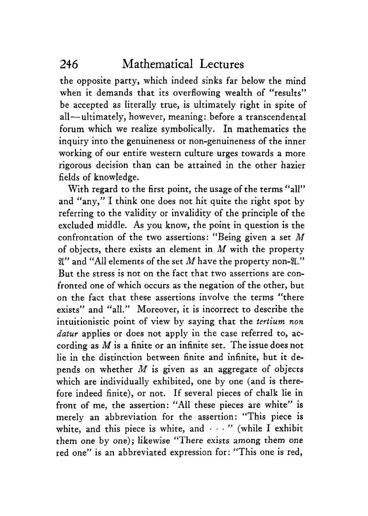the opposite party, which indeed sinks far below the mind when it demands that its overflowing wealth of "results" be accepted as literally true, is ultimately right in spite of all-ultimately, however, meaning: before a transcendental forum which we realize symbolically. In mathematics the inquiry into the genuineness or non-genuineness of the inner working of our entire western culture urges towards a more rigorous decision than can be attained in the other hazier fields of knowledge.

With regard to the first point, the usage of the terms "all" and "any," I think one does not hit quite the right spot by referring to the validity or invalidity of the principle of the excluded middle. **As** you know, the point in question is the confrontation of the two assertions: "Being given a set *M*  of objects, there exists an element in *M* with the property **3"** and **"All** elements of the set *M* have the property non-8." But the stress is not on the fact that two assertions are confronted one of which occurs as the negation of the other, but on the fact that these assertions involve the terms "there exists" and "all." Moreover, it is incorrect to describe the intuitionistic point of view by saying that the *tertium non datur* applies or does not apply in the case referred to, according as *M* is a finite or an infinite set. The issue does not lie in the distinction between finite and infinite, but it depends on whether *M* is given as an aggregate of objects which are individually exhibited, one by one (and is therefore indeed finite), or not. If several pieces of chalk lie in front of me, the assertion: "All these pieces are white" is merely an abbreviation for the assertion: "This piece is white, and this piece is white, and  $\cdots$  " (while I exhibit them one by one); likewise "There exists among them one red one" is an abbreviated expression for: "This one is red,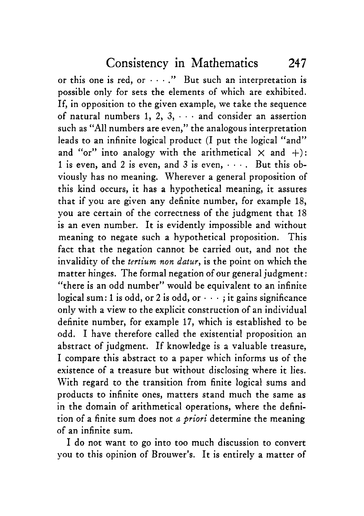or this one is red, or  $\cdots$ ." But such an interpretation is possible only for sets the elements of which are exhibited. If, in opposition to the given example, we take the sequence of natural numbers 1, **2,** *3,* . . and consider an assertion such as "All numbers are even," the analogous interpretation leads to an infinite logical product (I put the logical "and" and "or" into analogy with the arithmetical  $\times$  and  $+$ ): 1 is even, and **2** is even, and *3* is even, - . But this obviously has no meaning. Wherever a general proposition of this kind occurs, it has a hypothetical meaning, it assures that if you are given any definite number, for example 18, you are certain of the correctness of the judgment that 18 is an even number. It is evidently impossible and without meaning to negate such a hypothetical proposition. This fact that the negation cannot be carried out, and not the invalidity of the *tertium non datur,* is the point on which the matter hinges. The formal negation of our general judgment: "there is an odd number" would be equivalent to an infinite logical sum: 1 is odd, or 2 is odd, or  $\cdots$ ; it gains significance only with a view to the explicit construction of an individual definite number, for example 17, which is established to be odd. I have therefore called the existential proposition an abstract of judgment. If knowledge is a valuable treasure, I compare this abstract to a paper which informs us of the existence of a treasure but without disclosing where it lies. With regard to the transition from finite logical sums and products to infinite ones, matters stand much the same as in the domain of arithmetical operations, where the definition of a finite sum does not *a priori* determine the meaning of an infinite **sum.** 

I do not want to go into too much discussion to convert you to this opinion of Brouwer's. It is entirely a matter of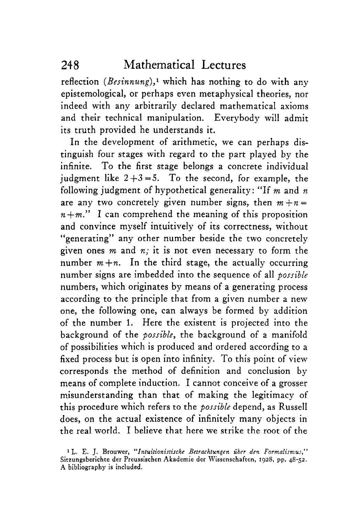reflection *(Besinnung),'* which has nothing to do with any epistemological, or perhaps even metaphysical theories, nor indeed with any arbitrarily declared mathematical axioms and their technical manipulation. Everybody will admit its truth provided he understands it.

In the development of arithmetic, we can perhaps distinguish four stages with regard to the part played by the infinite. To the first stage belongs a concrete individual iudgment like  $2+3=5$ . To the second, for example, the following judgment of hypothetical generality: "If m and *n*  are any two concretely given number signs, then  $m + n =$  $n+m$ ." I can comprehend the meaning of this proposition and convince myself intuitively of its correctness, without generating" any other number beside the two concretely **IC**  given ones m and *n;* it is not even necessary to form the number  $m+n$ . In the third stage, the actually occurring number signs are imbedded into the sequence of all *possible*  numbers, which originates by means of a generating process according to the principle that from a given number a new one, the following one, can always be formed by addition of the number 1. Here the existent is projected into the background of the *possible,* the background of a manifold of possibilities which is produced and ordered according to a fixed process but is open into infinity. To this point of view corresponds the method of definition and conclusion by means of complete induction. I cannot conceive of a grosser misunderstanding than that of making the legitimacy of this procedure which refers to the *possible* depend, as Russell does, on the actual existence of infinitely many objects in the real world. I believe that here we strike the root of the

**<sup>1</sup>L. E.** J. **Brouwer,** *"Intuitionistische Betrachtungen uber den Formalisniw,"*  **Sitzungsberichte der Preussischen Akademie der Wissenschaften, 1928,** pp. **48-52. A bibliography is included.**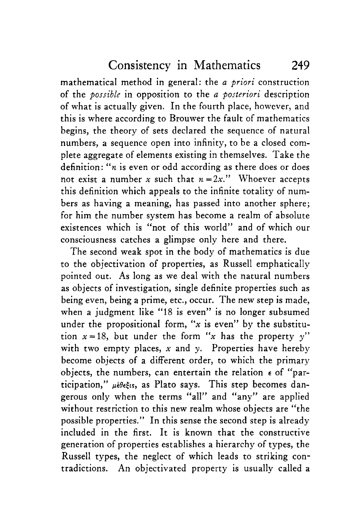Consistency in Mathematics 249

mathematical method in general: the *a priori* construction of the *possible* in opposition to the *a posteriori* description of what is actually given. In the fourth place, however, and this is where according to Brouwer the fault of mathematics begins, the theory of sets declared the sequence of natural numbers, a sequence open into infinity, to be a closed complete aggregate of elements existing in themselves. Take the definition: *"n* is even or odd according as there does or does not exist a number *x* such that  $n=2x$ ." Whoever accepts this definition which appeals to the infinite totality of numbers as having a meaning, has passed into another sphere; for him the number system has become a realm of absolute existences which is "not of this world" and of which our consciousness catches a glimpse only here and there.

The second weak spot in the body of mathematics is due to the objectivation of properties, as Russell emphatically pointed out. As long as we deal with the natural numbers as objects of investigation, single definite properties such as being even, being a prime, etc., occur. The new step is made, when a judgment like "18 is even" is no longer subsumed under the propositional form, *"x* is even" by the substitution  $x=18$ , but under the form "x has the property y" with two empty places,  $x$  and  $y$ . Properties have hereby become objects of a different order, to which the primary objects, the numbers, can entertain the relation *E* of "participation,"  $\mu \neq \theta \in$ <sub>is</sub>, as Plato says. This step becomes dangerous only when the terms "all" and "any" are applied without restriction to this new realm whose objects are "the possible properties." In this sense the second step is already included in the first. It is known that the constructive generation of properties establishes **a** hierarchy of types, the Russell types, the neglect of which leads to striking contradictions. An objectivated property is usually called a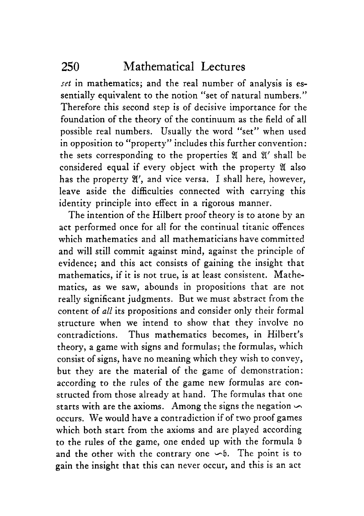*set* in mathematics; and the real number of analysis is essentially equivalent to the notion "set of natural numbers." Therefore this second step is of decisive importance for the foundation of the theory of the continuum as the field of all possible real numbers. Usually the word "set" when used in opposition to "property" includes this further convention: the sets corresponding to the properties  $\mathfrak A$  and  $\mathfrak A'$  shall be considered equal if every object with the property 8 also has the property *8',* and vice versa. I shall here, however, leave aside the difficulties connected with carrying this identity principle into effect in a rigorous manner.

The intention of the Hilbert proof theory is to atone by an act performed once for all for the continual titanic offences which mathematics and all mathematicians have committed and will still commit against mind, against the principle of evidence; and this act consists of gaining the insight that mathematics, if it is not true, is at least consistent. Mathematics, as we saw, abounds in propositions that are not really significant judgments. But we must abstract from the content of *all* its propositions and consider only their formal structure when we intend to show that they involve no contradictions. Thus mathematics becomes, in Hilbert's theory, a game with signs and formulas; the formulas, which consist of signs, have no meaning which they wish to convey, but they are the material of the game of demonstration: according to the rules of the game new formulas are constructed from those already at hand. The formulas that one starts with are the axioms. Among the signs the negation occurs. We would have a contradiction if of two proof games which both start from the axioms and are played according to the rules of the game, one ended up with the formula **<sup>b</sup>** and the other with the contrary one  $\sim b$ . The point is to gain the insight that this can never occur, and this is an act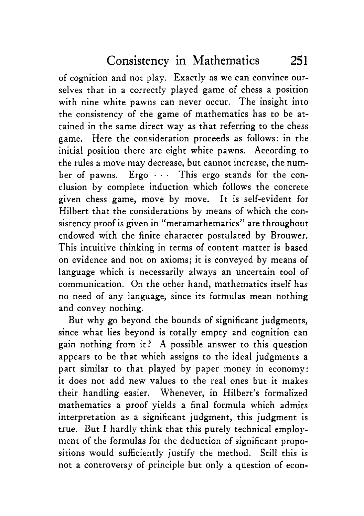of cognition and not play. Exactly **as** we can convince ourselves that in a correctly played game of chess a position with nine white pawns can never occur. The insight into the consistency of the game of mathematics has to be attained in the same direct way as that referring to the chess game. Here the consideration proceeds as follows: in the initial position there are eight white pawns. According to the rules a move may decrease, but cannot increase, the number of pawns.  $\rm{Ergo}\,\cdots\,\rm{This}$  ergo stands for the conclusion by complete induction which follows the concrete given chess game, move by move. It is self-evident for Hilbert that the considerations by means of which the consistency proof is given in "metamathematics" are throughout endowed with the finite character postulated by Brouwer. This intuitive thinking in terms of content matter is based on evidence and not on axioms; it is conveyed by means of language which is necessarily always an uncertain tool of communication. On the other hand, mathematics itself has no need of any language, since its formulas mean nothing and convey nothing.

But why go beyond the bounds of significant judgments, since what lies beyond is totally empty and cognition can gain nothing from it? A possible answer to this question appears to be that which assigns to the ideal judgments a part similar to that played by paper money in economy: it does not add new values to the real ones but it makes their handling easier. Whenever, in Hilbert's formalized mathematics a proof yields a final formula which admits interpretation as a significant judgment, this judgment is true. But I hardly think that this purely technical employment of the formulas for the deduction of significant propositions would sufficiently justify the method. Still this is not a controversy of principle but only a question of econ-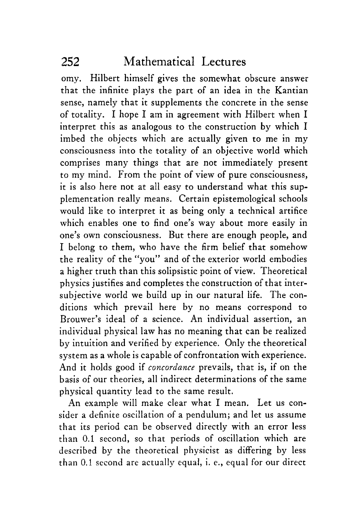omy. Hilbert himself gives the somewhat obscure answer that the infinite plays the part of an idea in the Kantian sense, namely that it supplements the concrete in the sense of totality. I hope I am in agreement with Hilbert when I interpret this as analogous to the construction by which I imbed the objects which are actually given to me in my consciousness into the totality of an objective world which comprises many things that are not immediately present to my mind. From the point of view of pure consciousness, it is also here not at all easy to understand what this supplementation really means. Certain epistemological schools would like to interpret it as being only a technical artifice which enables one to find one's way about more easily in one's own consciousness. But there are enough people, and I belong to them, who have the firm belief that somehow the reality of the "you" and of the exterior world embodies a higher truth than this solipsistic point of view. Theoretical physics justifies and completes the construction of that intersubjective world we build up in our natural life. The conditions which prevail here by no means correspond to Brouwer's ideal of a science. An individual assertion, an individual physical law has no meaning that can be realized by intuition and verified by experience. Only the theoretical system as a whole is capable of confrontation with experience. And it holds good if *concordance* prevails, that is, if on the basis of our theories, all indirect determinations of the same physical quantity lead to the same result.

An example will make clear what I mean. Let us consider a definite oscillation of a pendulum; and let us assume that its period can be observed directly with an error less than 0.1 second, so that periods of oscillation which are described by the theoretical physicist as differing by less than 0.1 second **are** actually equal, i. e., equal for our direct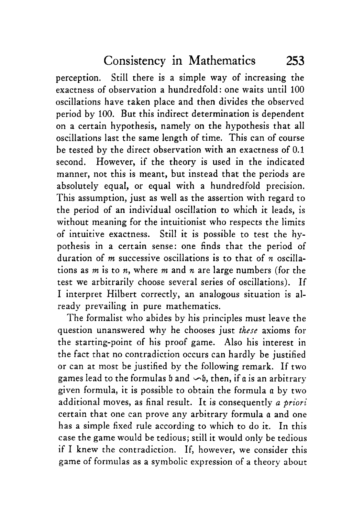perception. Still there is a simple way of increasing the exactness of observation a hundredfold: one waits until 100 oscillations have taken place and then divides the observed period by 100. But this indirect determination is dependent on a certain hypothesis, namely on the hypothesis that all oscillations last the same length of time. This can of course be tested by the direct observation with an exactness of 0.1 second, However, if the theory is used in the indicated manner, not this is meant, but instead that the periods are absolutely equal, or equal with a hundredfold precision. This assumption, just as well as the assertion with regard to the period of an individual oscillation to which it leads, is without meaning for the intuitionist who respects the limits of intuitive exactness. Still it is possible to test the hypothesis in a certain sense: one finds that the period of duration of *m* successive oscillations is to that of *n* oscillations as *m* is to *n,* where *m* and *n* are large numbers (for the test we arbitrarily choose several series of oscillations). If I interpret Hilbert correctly, an analogous situation is already prevailing in pure mathematics.

The formalist who abides by his principles must leave the question unanswered why he chooses just *there* axioms for the starting-point of his proof game. Also his interest in the fact that no contradiction occurs can hardly be justified or can at most be justified by the following remark. If two games lead to the formulas  $\mathfrak b$  and  $\sim \mathfrak b$ , then, if  $\mathfrak a$  is an arbitrary given formula, it is possible to obtain the formula a by two additional moves, as final result. It is consequently *a priori*  certain that one can prove any arbitrary formula a and one has a simple fixed rule according to which to do it. In this case the game would be tedious; still it would only be tedious if I knew the contradiction. If, however, we consider this game of formulas as a symbolic expression of a theory about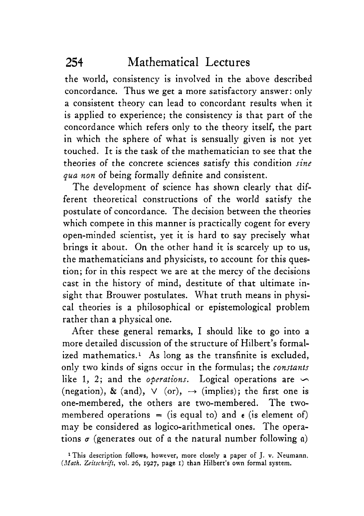the world, consistency is involved in the above described concordance. Thus we get a more satisfactory answer: only a consistent theory can lead to concordant results when it is applied to experience; the consistency is that part of the concordance which refers only to the theory itself, the part in which the sphere of what is sensually given is not yet touched. It is the task of the mathematician to see that the theories of the concrete sciences satisfy this condition *sine qua non* of being formally definite and consistent.

The development of science has shown clearly that different theoretical constructions of the world satisfy the postulate of concordance. The decision between the theories which compete in this manner is practically cogent for every open-minded scientist, yet it is hard to say precisely what brings it about. On the other hand it **is** scarcely up to us, the mathematicians and physicists, to account for this question; for in this respect we are at the mercy of the decisions cast in the history of mind, destitute of that ultimate insight that Brouwer postulates. What truth means in physical theories is a philosophical or epistemological problem rather than a physical one.

After these general remarks, I should like to go into a more detailed discussion of the structure of Hilbert's formalized mathematics.' **As** long as the transfinite is excluded, only two kinds of signs occur in the formulas; the *constants*  like 1, 2; and the *operations*. Logical operations are  $\sim$ (negation), & (and),  $\vee$  (or),  $\rightarrow$  (implies); the first one is one-membered, the others are two-membered. The twomembered operations = (is equal to) and  $\epsilon$  (is element of) may be considered as logico-arithmetical ones. The operations  $\sigma$  (generates out of  $\alpha$  the natural number following  $\alpha$ )

**<sup>&#</sup>x27;This description follows, however, more closely a paper** of J. **v. Neumann.**  *Zeitschrift,* **vol. 26, 1927, page I) than Hilbert's own formal system.**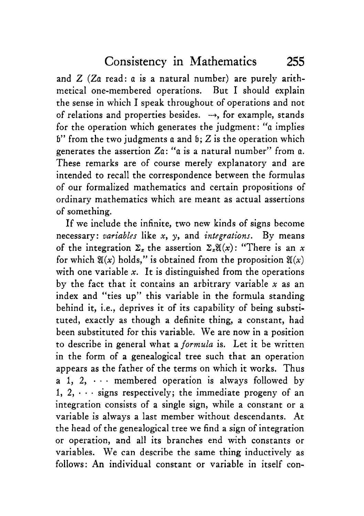and  $Z$  ( $Za$  read:  $a$  is a natural number) are purely arithmetical one-membered operations. But I should explain the sense in which I speak throughout of operations and not of relations and properties besides.  $\rightarrow$ , for example, stands for the operation which generates the judgment: *"a* implies  $6"$  from the two judgments a and  $6: Z$  is the operation which generates the assertion Zn: *"a* is a natural number" from a. These remarks are of course merely explanatory and are intended to recall the correspondence between the formulas of our formalized mathematics and certain propositions of ordinary mathematics which are meant as actual assertions of something.

If we include the infinite, two new kinds of signs become necessary: *oariabler* like *x, y,* and *integrations.* By means of the integration  $\Sigma$ <sub>z</sub> the assertion  $\Sigma$ <sub>z</sub> $\mathfrak{A}(x)$ : "There is an *x* for which  $\mathfrak{A}(x)$  holds," is obtained from the proposition  $\mathfrak{A}(x)$ with one variable *x*. It is distinguished from the operations by the fact that it contains an arbitrary variable *x* as an index and "ties up" this variable in the formula standing behind it, i.e., deprives it of its capability of being substituted, exactly as though a definite thing, a constant, had been substituted for this variable. We are now in a position to describe in general what a *formula* is. Let it be written in the form of a genealogical tree such that an operation appears as the father of the terms on which it works. Thus a 1, 2,  $\cdots$  membered operation is always followed by 1,  $2, \dots$  signs respectively; the immediate progeny of an integration consists of a single sign, while a constant or a variable is always a last member without descendants. At the head of the genealogical tree we find a sign of integration or operation, and all its branches end with constants or variables. We can describe the same thing inductively as follows: **An** individual constant or variable in itself con-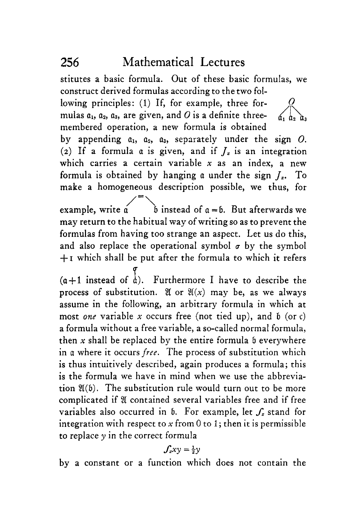stitutes a basic formula. Out of these basic formulas, we construct derived formulas according to the two fol-

*0* 

lowing principles: (1) If, for example, three formulas  $a_1$ ,  $a_2$ ,  $a_3$ , are given, and O is a definite threemembered operation, a new formula is obtained

by appending  $a_1$ ,  $a_2$ ,  $a_3$ , separately under the sign  $O$ . (2) If a formula  $\alpha$  is given, and if  $J<sub>x</sub>$  is an integration which carries a certain variable *x* as an index, a new formula is obtained by hanging a under the sign  $I<sub>x</sub>$ . To make a homogeneous description possible, we thus, for

example, write  $\alpha$  b instead of  $\alpha = \beta$ . But afterwards we may return to the habitual way of writing so as to prevent the formulas from having too strange an aspect. Let us do this, and also replace the operational symbol  $\sigma$  by the symbol **+I** which shall be put after the formula to which it refers

 $(a+1$  instead of  $\frac{1}{a}$ ). Furthermore I have to describe the process of substitution. If or  $\mathfrak{A}(x)$  may be, as we always assume in the following, an arbitrary formula in which at most *one* variable *x* occurs free (not tied up), and b (or **c)**  a formula without **a** free variable, a so-called normal formula, then  $x$  shall be replaced by the entire formula  $b$  everywhere in a where it occurs *free*. The process of substitution which is thus intuitively described, again produces a formula; this is the formula we have in mind when we use the abbreviation  $\mathfrak{A}(b)$ . The substitution rule would turn out to be more complicated if *8* contained several variables free and if free variables also occurred in  $\mathfrak b$ . For example, let  $\mathcal f_x$  stand for integration with respect to  $x$  from 0 to 1; then it is permissible to replace  $\nu$  in the correct formula

$$
f_xxy=\tfrac{1}{2}y
$$

by a constant or a function which does not contain the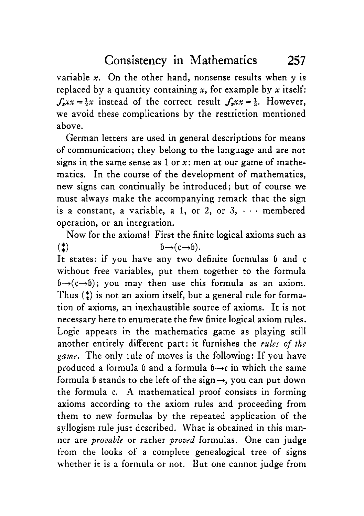variable  $x$ . On the other hand, nonsense results when  $y$  is replaced by a quantity containing *x,* for example by *x* itself:  $S<sub>x</sub>xx=\frac{1}{2}x$  instead of the correct result  $S<sub>x</sub>xx=\frac{1}{2}$ . However, we avoid these complications by the restriction mentioned above.

German letters are used in general descriptions for means of communication; they belong to the language and are not signs in the same sense as 1 or *x:* men at our game of mathematics. In the course of the development of mathematics, new signs can continually be introduced; but of course we must always make the accompanying remark that the sign is a constant, a variable, a 1, or 2, or  $3, \cdots$  membered operation, or an integration.

Now for the axioms! First the finite logical axioms such as  $(2, 4)$ <br>It states: if you have any two definite formulas b and c without free variables, put them together to the formula  $b \rightarrow (c \rightarrow b)$ ; you may then use this formula as an axiom. Thus *(t)* is not an axiom itself, but a general rule for formation of axioms, an inexhaustible source of axioms. It is not necessary here to enumerate the few finite logical axiom rules. Logic appears in the mathematics game as playing still another entirely different part: it furnishes the *rules of the game.* The only rule of moves is the following: If you have produced a formula b and a formula  $b \rightarrow c$  in which the same formula b stands to the left of the sign $\rightarrow$ , you can put down the formula c. **A** mathematical proof consists in forming axioms according to the axiom rules and proceeding from them to new formulas by the repeated application of the syllogism rule just described. What is obtained in this manner are *provable* or rather *proved* formulas. One can judge from the looks of a complete genealogical tree of signs whether it is a formula or not. But one cannot judge from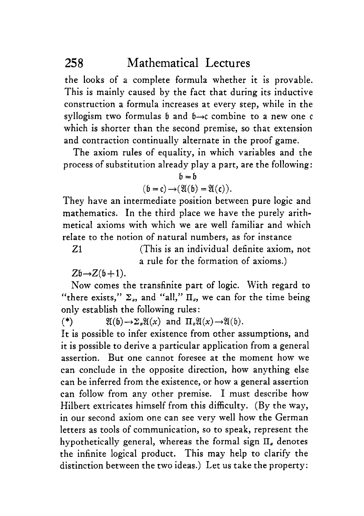the looks of a complete formula whether it is provable. This is mainly caused by the fact that during its inductive construction a formula increases at every step, while in the syllogism two formulas 6 and 6-x combine to a new one *c*  which is shorter than the second premise, so that extension and contraction continually alternate in the proof game.

The axiom rules of equality, in which variables and the process of substitution already play a part, are the following:

$$
\mathfrak{b}=\mathfrak{b}
$$

$$
(\mathfrak{b}=\mathfrak{c})\rightarrow(\mathfrak{A}(\mathfrak{b})=\mathfrak{A}(\mathfrak{c})).
$$

They have an intermediate position between pure logic and mathematics. In the third place we have the purely arithmetical axioms with which we are well familiar and which relate to the notion of natural numbers, as for instance

(This is an individual definite axiom, not a rule for the formation of axioms.) 21

 $Zb \rightarrow Z(b+1)$ .

Now comes the transfinite part of logic. With regard to "there exists,"  $\Sigma_z$ , and "all,"  $\Pi_z$ , we can for the time being only establish the following rules :

 $(*)$  $\mathfrak{A}(\mathfrak{b}) \rightarrow \Sigma_x \mathfrak{A}(x)$  and  $\Pi_x \mathfrak{A}(x) \rightarrow \mathfrak{A}(\mathfrak{b})$ .

It is possible to infer existence from other assumptions, and it is possible to derive a particular application from a general assertion. But one cannot foresee at the moment how we can conclude in the opposite direction, how anything else can be inferred from the existence, or how a general assertion can follow from any other premise. I must describe how Hilbert extricates himself from this difficulty. (By the way, in our second axiom one can see very well how the German letters as tools of communication, so to speak, represent the hypothetically general, whereas the formal sign  $\Pi$ <sub>z</sub> denotes the infinite logical product. This may help to clarify the distinction between the two ideas.) Let us take the property: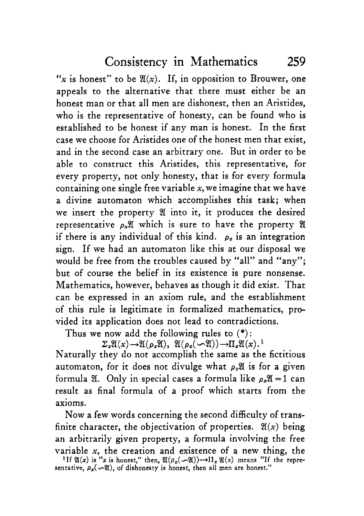$f(x)$  is honest" to be  $\mathfrak{A}(x)$ . If, in opposition to Brouwer, one appeals to the alternative that there must either be an honest man or that all men are dishonest, then an Aristides, who is the representative of honesty, can be found who is established to be honest if any man is honest. In the first case we choose for Aristides one of the honest men that exist, and in the second case an arbitrary one. But in order to be able to construct this Aristides, this representative, for every property, not only honesty, that is for every formula containing one single free variable *x,* we imagine that we have a divine automaton which accomplishes this task; when we insert the property *8* into it, it produces the desired representative *pz8* which is sure to have the property *8*  if there is any individual of this kind.  $\rho_z$  is an integration sign. If we had an automaton like this at our disposal we would be free from the troubles caused by "all" and "any"; but of course the belief in its existence is pure nonsense. Mathematics, however, behaves as though it did exist. That can be expressed in an axiom rule, and the establishment of this rule is legitimate in formalized mathematics, provided its application does not lead to contradictions.

Thus we now add the following rules to (\*):

 $\Sigma_z \mathfrak{A}(x) \rightarrow \mathfrak{A}(\rho_x \mathfrak{A}), \ \mathfrak{A}(\rho_x(\neg \mathfrak{A})) \rightarrow \Pi_z \mathfrak{A}(x).$ <sup>1</sup> Naturally they do not accomplish the same as the fictitious automaton, for it does not divulge what  $\rho_x\mathfrak{A}$  is for a given formula  $\mathfrak{A}$ . Only in special cases a formula like  $\rho_x \mathfrak{A} = 1$  can result as final formula of a proof which starts from the axioms.

Now a few words concerning the second difficulty of transfinite character, the objectivation of properties.  $\mathfrak{X}(x)$  being an arbitrarily given property, a formula involving the free variable *x,* the creation and existence of a new thing, the <sup>1</sup>If  $\mathfrak{A}(x)$  is "x is honest," then,  $\mathfrak{A}(\rho_x(\infty\mathfrak{A}))\rightarrow\text{II}_x\mathfrak{A}(x)$  means "If the representative, *p,(-%),* of dishonesty **is** honest, then all men are honest."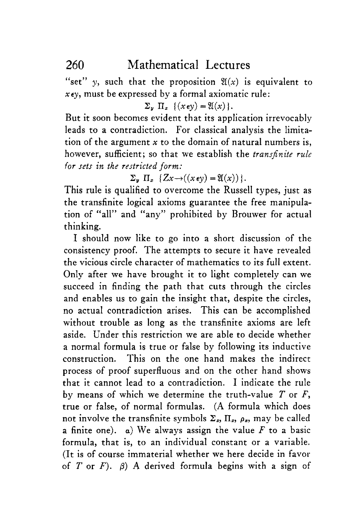"set" y, such that the proposition  $\mathfrak{A}(x)$  is equivalent to *xey,* must be expressed by a formal axiomatic rule:

 $\Sigma_u \Pi_x$  { $(x \in v) = \mathfrak{A}(x)$  }.

But it soon becomes evident that its application irrevocably leads to a contradiction. For classical analysis the limitation of the argument *x* to the domain of natural numbers is, however, sufficient; so that we establish the *transfinite rule for sets in the restricted form:* 

 $\Sigma_v \Pi_x \{Z_x \rightarrow ((x \in v) = \mathfrak{A}(x))\}.$ 

This rule is qualified to overcome the Russell types, just as the transfinite logical axioms guarantee the free manipulation of "all" and "any" prohibited by Brouwer for actual thinking.

I should now like to go into a short discussion of the consistency proof. The attempts to secure it have revealed the vicious circle character of mathematics to its full extent. Only after we have brought it to light completely can we succeed in finding the path that cuts through the circles and enables us to gain the insight that, despite the circles, no actual contradiction arises. This can be accomplished without trouble as long as the transfinite axioms are left aside. Under this restriction we are able to decide whether a normal formula is true or false by following its inductive construction. This on the one hand makes the indirect process of proof superfluous and on the other hand shows that it cannot lead to a contradiction. I indicate the rule by means of which we determine the truth-value *T* or *F,*  true or false, of normal formulas. **(A** formula which does not involve the transfinite symbols  $\Sigma_z$ ,  $\Pi_z$ ,  $\rho_z$ , may be called a finite one). *a)* We always assign the value *F* to a basic formula, that is, to an individual constant or a variable. (It is of course immaterial whether we here decide in favor of *T* or *F*).  $\beta$ ) A derived formula begins with a sign of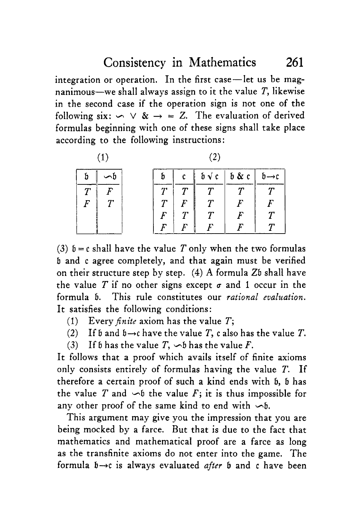#### Consistency in Mathematics 261

integration or operation. In the first case-let us be magnanimous-we shall always assign to it the value *T,* likewise in the second case if the operation sign is not one of the following six:  $\sim \vee 8$   $\rightarrow$  = *Z*. The evaluation of derived formulas beginning with one of these signs shall take place

|                   |  | communes beginning with one of these signs share tane<br>according to the following instructions: |     |             |                                             |       |              |
|-------------------|--|---------------------------------------------------------------------------------------------------|-----|-------------|---------------------------------------------|-------|--------------|
| $\left( 1\right)$ |  |                                                                                                   | (2) |             |                                             |       |              |
|                   |  |                                                                                                   |     |             | $\mathfrak{b}\mathbin{\sqrt{\mathfrak{c}}}$ | b & c | h→c          |
|                   |  |                                                                                                   |     |             | $\boldsymbol{\tau}$                         |       |              |
| F                 |  |                                                                                                   |     |             |                                             |       | F            |
|                   |  |                                                                                                   | F   | $\bm{\tau}$ |                                             | F     | $\pmb{\tau}$ |
|                   |  |                                                                                                   |     |             |                                             |       |              |

(3)  $b = c$  shall have the value *T* only when the two formulas **<sup>b</sup>**and c agree completely, and that again must be verified on their structure step by step. **(4) A** formula Zb shall have the value *T* if no other signs except  $\sigma$  and 1 occur in the formula b. This rule constitutes our *rational evaluation.*  It satisfies the following conditions:

- $(1)$ Every *finite* axiom has the value *T*;
- **(2)**  If  $\mathfrak b$  and  $\mathfrak b\rightarrow c$  have the value *T*,  $\mathfrak c$  also has the value *T*.
- **(3)**  If b has the value  $T$ ,  $\sim$  b has the value  $F$ .

It follows that a proof which avails itself of finite axioms only consists entirely of formulas having the value *T.* If therefore a certain proof of such a kind ends with b, b has the value *T* and  $\sim b$  the value *F*; it is thus impossible for any other proof of the same kind to end with  $\sim b$ .

This argument may give you the impression that you are being mocked by a farce. But that is due to the fact that mathematics and mathematical proof are a farce as long as the transfinite axioms do not enter into the game. The formula  $b \rightarrow c$  is always evaluated *after* **b** and c have been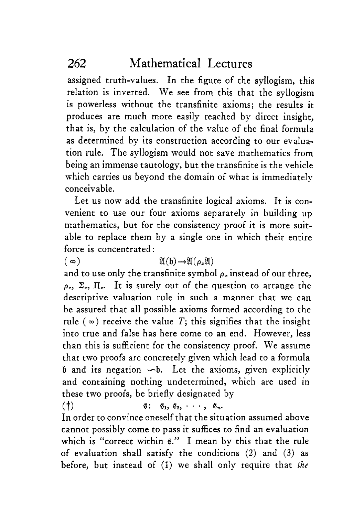assigned truth-values. In the figure of the syllogism, this relation is inverted. We see from this that the syllogism is powerless without the transfinite axioms; the results it produces are much more easily reached by direct insight, that is, by the calculation of the value of the final formula as determined by its construction according to our evaluation rule. The syllogism would not save mathematics from being an immense tautology, but the transfinite is the vehicle which carries us beyond the domain of what is immediately conceivable.

Let us now add the transfinite logical axioms. It is convenient to use our four axioms separately in building up mathematics, but for the consistency proof it is more suitable to replace them by a single one in which their entire force is concentrated :

 $(\infty)$   $\mathfrak{A}(h) \rightarrow \mathfrak{A}(\mathfrak{a}^* \mathfrak{A})$ 

and to use only the transfinite symbol  $\rho_z$  instead of our three,  $\rho_z$ ,  $\Sigma_z$ ,  $\Pi_z$ . It is surely out of the question to arrange the descriptive valuation rule in such a manner that we can be assured that all possible axioms formed according to the rule  $(\infty)$  receive the value *T*; this signifies that the insight into true and false has here come to an end. However, less than this is sufficient for the consistency proof. We assume that two proofs are concretely given which lead to a formula **<sup>b</sup>**and its negation *4.* Let the axioms, given explicitly and containing nothing undetermined, which are used in these two proofs, be briefly designated by

 $(\uparrow)$   $\qquad \qquad$   $\qquad$   $\qquad$   $\qquad$   $\qquad$   $\qquad$   $\qquad$   $\qquad$   $\qquad$   $\qquad$   $\qquad$   $\qquad$   $\qquad$   $\qquad$   $\qquad$   $\qquad$   $\qquad$   $\qquad$   $\qquad$   $\qquad$   $\qquad$   $\qquad$   $\qquad$   $\qquad$   $\qquad$   $\qquad$   $\qquad$   $\qquad$   $\qquad$   $\qquad$   $\qquad$   $\qquad$   $\qquad$   $\qquad$   $\qquad$ 

In order to convince oneself that the situation assumed above cannot possibly come to pass it suffices to find an evaluation which is "correct within **6."** I mean by this that the rule of evaluation shall satisfy the conditions **(2)** and (3) as before, but instead of (1) **we** shall only require that *thc*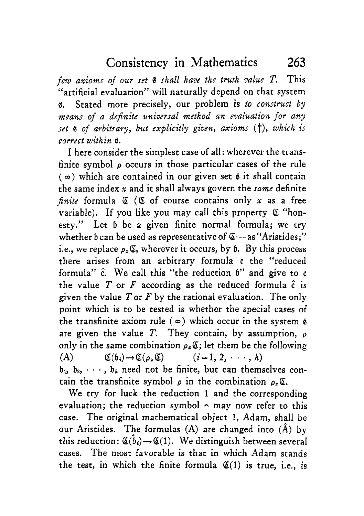*few axioms of our set 8 shall have the truth value* T. This "artificial evaluation" will naturally depend on that system **6.** Stated more precisely, our problem **is** *to construct by means of a definite universal method an evaluation for any set* **1** *of arbitrary, but explicitly given, axioms* (t), *which is correct within 8.* 

I here consider the simplest case of all: wherever the transfinite symbol *p* occurs in those particular cases of the rule  $(\infty)$  which are contained in our given set  $\theta$  it shall contain the same index *x* and it shall always govern the *same* definite *finite* formula *Q (6* of course contains only *x* as a free variable). If you like you may call this property *Q* "honesty." Let b be a given finite normal formula; we try whether b can be used as representative of  $\mathfrak{C}$  - as "Aristides;" i.e., we replace  $\rho_{\tau} \mathfrak{C}$ , wherever it occurs, by  $\mathfrak{b}$ . By this process there arises from an arbitrary formula c the "reduced formula" *c\*.* We call this "the reduction b" and give to *<sup>c</sup>* the value  $T$  or  $F$  according as the reduced formula  $\hat{c}$  is given the value Tor *F* by the rational evaluation. The only point which is to be tested is whether the special cases of the transfinite axiom rule  $(\infty)$  which occur in the system  $\hat{\beta}$ are given the value T. They contain, by assumption, *<sup>p</sup>* only in the same combination  $\rho_{\varepsilon}(\mathcal{E})$ ; let them be the following (A)  $\mathfrak{C}(b_i) \rightarrow \mathfrak{C}(\rho_x \mathfrak{C})$   $(i=1, 2, \cdots, h)$  $b_1, b_2, \dots, b_h$  need not be finite, but can themselves contain the transfinite symbol  $\rho$  in the combination  $\rho_{\alpha} \mathfrak{C}$ .

We try for luck the reduction 1 and the corresponding evaluation; the reduction symbol  $\sim$  may now refer to this case. The original mathematical object 1, Adam, shall be our Aristides. The formulas  $(A)$  are changed into  $(\hat{A})$  by this reduction:  $\mathfrak{C}(\hat{\mathfrak{b}}_i) \rightarrow \mathfrak{C}(1)$ . We distinguish between several cases. The most favorable is that in which Adam stands the test, in which the finite formula  $\mathfrak{C}(1)$  is true, i.e., is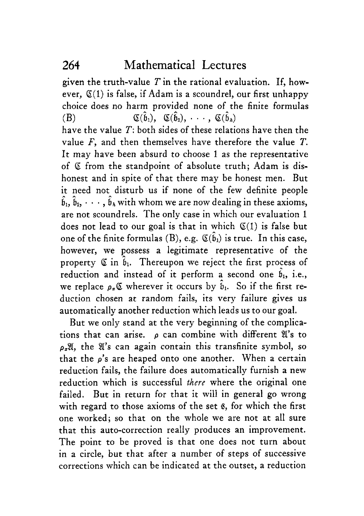given the truth-value  $T$  in the rational evaluation. If, however,  $\mathfrak{C}(1)$  is false, if Adam is a scoundrel, our first unhappy choice does no harm provided none of the finite formulas  $(B)$ have the value *T:* both sides of these relations have then the value *F,* and then themselves have therefore the value *T.*  It may have been absurd to choose 1 as the representative of Q from the standpoint of absolute truth; Adam is dishonest and in spite of that there may be honest men. But it need not disturb us if none of the few definite people  $\hat{b}_1, \hat{b}_2, \dots, \hat{b}_k$  with whom we are now dealing in these axioms, are not scoundrels. The only case in which our evaluation 1 does not lead to our goal is that in which  $\mathfrak{C}(1)$  is false but one of the finite formulas (B), e.g.  $\mathfrak{C}(\hat{\mathfrak{b}}_1)$  is true. In this case, however, we possess a legitimate representative of the property  $\mathfrak{C}$  in  $\hat{b}_1$ . Thereupon we reject the first process of property  $\in$  in  $\eta$ . Thereupon we refect the first process of<br>reduction and instead of it perform a second one  $\hat{b}_1$ , i.e., we replace  $\rho$ -C wherever it occurs by  $\hat{b}_1$ . So if the first reduction chosen at random fails, its very failure gives us automatically another reduction which leads us to our goal.  $\mathfrak{C}(\hat{\mathfrak{b}}_1), \quad \mathfrak{C}(\hat{\mathfrak{b}}_2), \cdots, \quad \mathfrak{C}(\hat{\mathfrak{b}}_n)$ 

But we only stand at the very beginning of the complications that can arise.  $\rho$  can combine with different  $\mathfrak{A}'$ 's to  $\rho$ <sub>z</sub> $\mathfrak{A}$ , the  $\mathfrak{A}'$ 's can again contain this transfinite symbol, so that the *p's* are heaped onto one another. When a certain reduction fails, the failure does automatically furnish a new reduction which is successful *there* where the original one failed. But in return for that it will in general go wrong with regard to those axioms of the set **e,** for which the first one worked; so that on the whole we are not at all sure that this auto-correction really produces an improvement. The point to be proved is that one does not turn about in a circle, but that after a number of steps of successive corrections which can be indicated at the outset, a reduction